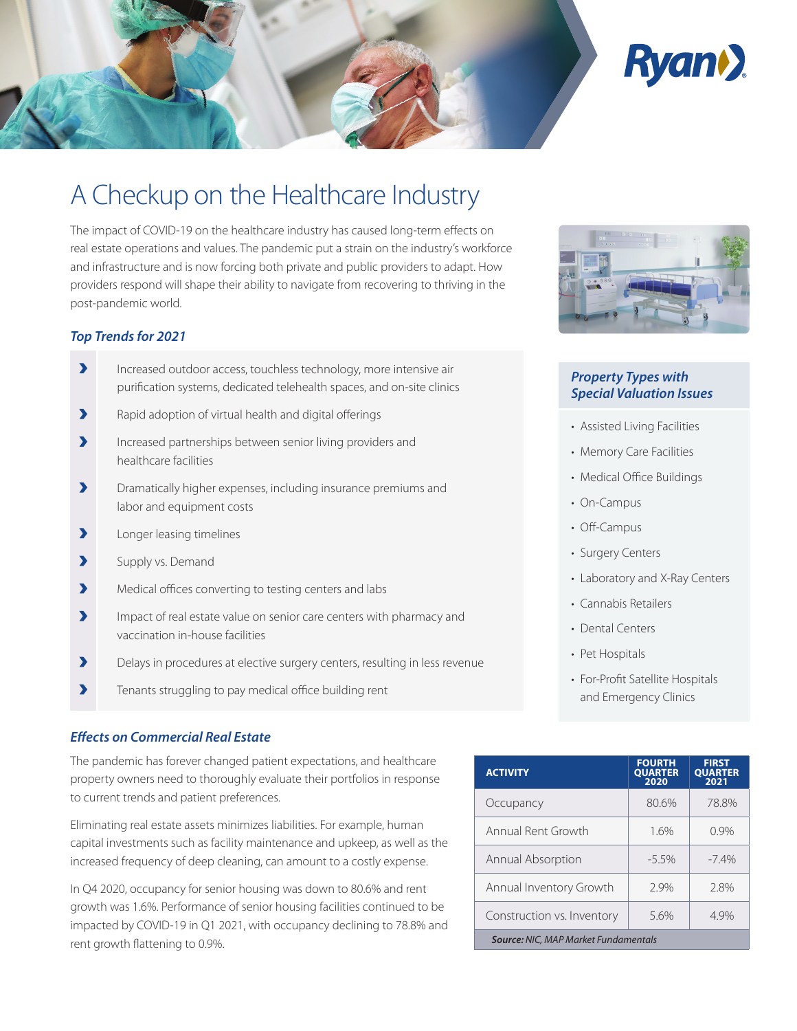

# A Checkup on the Healthcare Industry

The impact of COVID-19 on the healthcare industry has caused long-term effects on real estate operations and values. The pandemic put a strain on the industry's workforce and infrastructure and is now forcing both private and public providers to adapt. How providers respond will shape their ability to navigate from recovering to thriving in the post-pandemic world.

# *Top Trends for 2021*

- Increased outdoor access, touchless technology, more intensive air purification systems, dedicated telehealth spaces, and on-site clinics
- $\blacktriangleright$  Rapid adoption of virtual health and digital offerings
- Increased partnerships between senior living providers and healthcare facilities
- Dramatically higher expenses, including insurance premiums and labor and equipment costs
- **>** Longer leasing timelines
- Supply vs. Demand
- Medical offices converting to testing centers and labs
- Impact of real estate value on senior care centers with pharmacy and vaccination in-house facilities
- Delays in procedures at elective surgery centers, resulting in less revenue
- $\blacktriangleright$  Tenants struggling to pay medical office building rent

## *Eff ects on Commercial Real Estate*

The pandemic has forever changed patient expectations, and healthcare property owners need to thoroughly evaluate their portfolios in response to current trends and patient preferences.

Eliminating real estate assets minimizes liabilities. For example, human capital investments such as facility maintenance and upkeep, as well as the increased frequency of deep cleaning, can amount to a costly expense.

In Q4 2020, occupancy for senior housing was down to 80.6% and rent growth was 1.6%. Performance of senior housing facilities continued to be impacted by COVID-19 in Q1 2021, with occupancy declining to 78.8% and rent growth flattening to 0.9%.



# *Property Types with Special Valuation Issues*

- Assisted Living Facilities
- Memory Care Facilities
- Medical Office Buildings
- On-Campus
- Off-Campus
- Surgery Centers
- Laboratory and X-Ray Centers
- Cannabis Retailers
- Dental Centers
- Pet Hospitals
- For-Profit Satellite Hospitals and Emergency Clinics

| <b>ACTIVITY</b>                             | <b>FOURTH</b><br><b>QUARTER</b><br>2020 | <b>FIRST</b><br><b>QUARTER</b><br>2021 |
|---------------------------------------------|-----------------------------------------|----------------------------------------|
| Occupancy                                   | 80.6%                                   | 78.8%                                  |
| Annual Rent Growth                          | 1.6%                                    | 0.9%                                   |
| Annual Absorption                           | $-5.5\%$                                | $-7.4%$                                |
| Annual Inventory Growth                     | 2.9%                                    | 2.8%                                   |
| Construction vs. Inventory                  | 5.6%                                    | 4.9%                                   |
| <b>Source: NIC, MAP Market Fundamentals</b> |                                         |                                        |